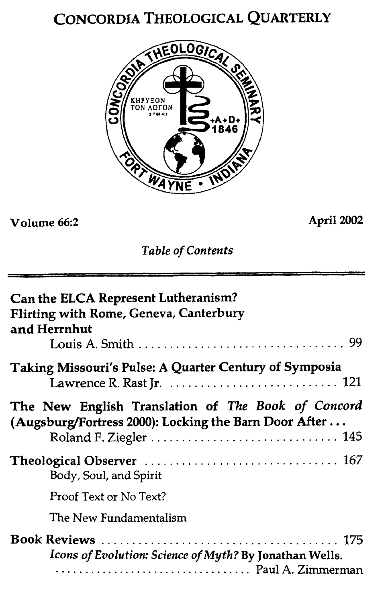# CONCORDIA THEOLOGICAL QUARTERLY



# **Volume 66:2 April** *2002*

*Table of Contents* 

| Can the ELCA Represent Lutheranism?<br>Flirting with Rome, Geneva, Canterbury<br>and Herrnhut               |
|-------------------------------------------------------------------------------------------------------------|
| <b>Taking Missouri's Pulse: A Quarter Century of Symposia</b>                                               |
| The New English Translation of The Book of Concord<br>(Augsburg/Fortress 2000): Locking the Barn Door After |
| Body, Soul, and Spirit                                                                                      |
| Proof Text or No Text?                                                                                      |
| The New Fundamentalism                                                                                      |
| Icons of Evolution: Science of Myth? By Jonathan Wells.                                                     |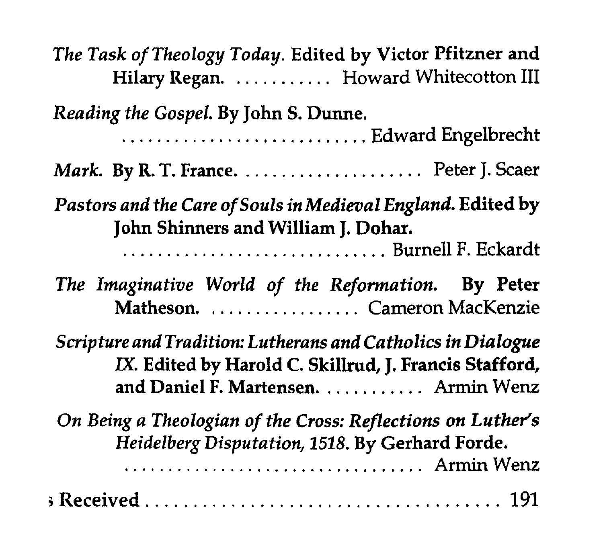| The Task of Theology Today. Edited by Victor Pfitzner and<br>Hilary Regan.  Howard Whitecotton III                                                                                       |
|------------------------------------------------------------------------------------------------------------------------------------------------------------------------------------------|
| Reading the Gospel. By John S. Dunne.<br>Edward Engelbrecht                                                                                                                              |
|                                                                                                                                                                                          |
| Pastors and the Care of Souls in Medieval England. Edited by<br>John Shinners and William J. Dohar.<br>The Imaginative World of the Reformation. By Peter<br>Matheson. Cameron MacKenzie |
| Scripture and Tradition: Lutherans and Catholics in Dialogue<br>IX. Edited by Harold C. Skillrud, J. Francis Stafford,<br>and Daniel F. Martensen.  Armin Wenz                           |
| On Being a Theologian of the Cross: Reflections on Luther's<br>Heidelberg Disputation, 1518. By Gerhard Forde.<br>Armin Wenz                                                             |
|                                                                                                                                                                                          |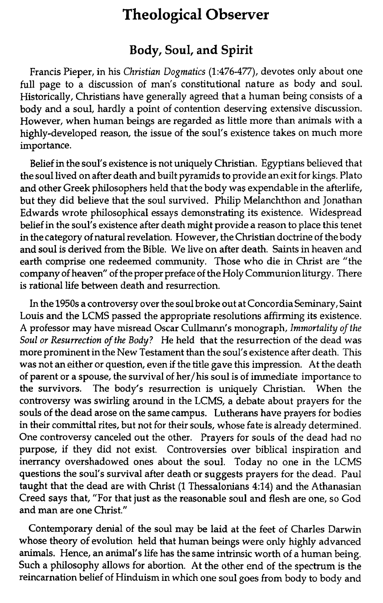## **Theological Observer**

### **Body, Soul, and Spirit**

Francis Pieper, in his **Christian** *Dogmatics* (1:476-477), devotes only about one full page to a discussion of man's constitutional nature as body and soul. Historically, Christians have generally agreed that a human being consists of a body and a soul, hardly a point of contention deserving extensive discussion. However, when human beings are regarded as little more than animals with a highly-developed reason, the issue of the soul's existence takes on much more importance.

Belief in the soul's existence is not uniquely Christian. Egyptians believed that the soul lived on after death and built pyramids to provide an exit for kings. Plato and other Greek philosophers held that the body was expendable in the afterlife, but they did believe that the soul survived. Philip Melanchthon and Jonathan Edwards wrote philosophical essays demonstrating its existence. Widespread belief in the soul's existence after death might provide **a** reason to place this tenet in the category of natural revelation. However, the Christian doctrine of the body and soul is derived from the Bible. We live on after death. Saints in heaven and earth comprise one redeemed community. Those who die in Christ are "the company of heaven" of the proper preface of the Holy Communion liturgy. There is rational life between death and resurrection.

In the 1950s a controversy over the soul broke out at Concordia Seminary, Saint Louis and the LCMS passed the appropriate resolutions affirming its existence. A professor may have misread Oscar Cullmann's monograph, *Immortality* of *the Soul or Resurrection of the Body?* He held that the resurrection of the dead was more prominent in the New Testament than the soul's existence after death. This was not an either or question, even if the title gave this impression. At the death of parent or a spouse, the survival of her/his soul is of immediate importance to the survivors. The body's resurrection is uniquely Christian. When the controversy was swirling around in the LCMS, a debate about prayers for the souls of the dead arose on the same campus. Lutherans have prayers for bodies in their committal rites, but not for their souls, whose fate is already determined. One controversy canceled out the other. Prayers for souls of the dead had no purpose, if they did not exist. Controversies over biblical inspiration and inerrancy overshadowed ones about the soul. Today no one in the LCMS questions the soul's survival after death or suggests prayers for the dead. Paul taught that the dead are with Christ (1 Thessalonians **4:14)** and the Athanasian Creed says that, "For that just as the reasonable soul and flesh are one, so God and man are one Christ."

Contemporary denial of the soul may be laid at the feet of Charles Darwin whose theory of evolution held that human beings were only highly advanced animals. Hence, an animal's life has the same intrinsic worth of a human being. Such a philosophy allows for abortion. At the other end of the spectrum is the reincarnation belief of Hinduism in which one soul goes from body to body and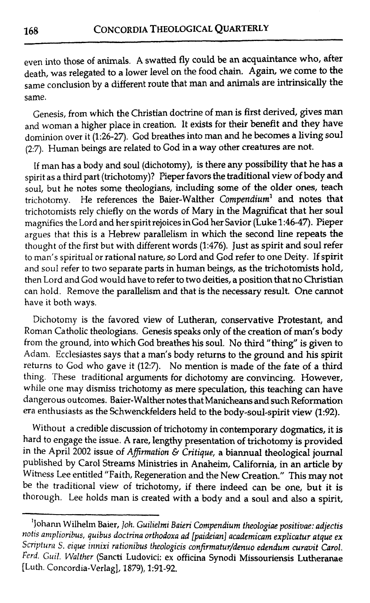even into those of animals. **A** swatted fly could be an acquaintance who, after death, was relegated to a lower level on the food chain. Again, we come to the same conclusion by a different route that man and animals are intrinsically the same.

Genesis, from which the Christian doctrine of man is first derived, gives man and woman a higher place in creation. It exists for their benefit and they have dominion over it (1:26-27). God breathes into man and he becomes a living soul **(2:7).** Human beings are related to God in a way other creatures are not.

If man has a body and soul (dichotomy), is there any possibility that he has a spirit as a third part (trichotomy)? Pieper favors the traditional view of body and soul, but he notes some theologians, including some of the older ones, teach trichotomy. He references the Baier-Walther Compendium' and notes that trichotomists rely chiefly on the words of Mary in the Magnificat that her soul magnifies the Lord and her spirit rejoices in God her Savior (Luke **1:46-47).** Pieper argues that this is a Hebrew parallelism in which the second line repeats **the**  thought of the first but with different words (1:476). Just as spirit and soul refer to man's spiritual or rational nature, so Lord and God refer to one Deity. If spirit and soul refer to two separate parts in human beings, as the trichotomists hold, then Lord and God would have to refer to two deities, a position that no Christian can hold. Remove the parallelism and that is the necessary result. One cannot have it both ways.

Dichotomy is the favored view of Lutheran, conservative Protestant, and Roman Catholic theologians. Genesis speaks only of the creation of man's body from the ground, into which God breathes his soul. No third "thing" is given to Adam. Ecclesiastes says that a man's body returns to the ground and his spirit returns to God who gave it **(12:7).** No mention is made of the fate of a third thing. These traditional arguments for dichotomy are convincing. However, while one may dismiss trichotomy as mere speculation, this teaching can have dangerous outcomes. Baier-Walther notes that **Manicheam** and such Reformation era enthusiasts as the Schwenckfelders held to the body-soul-spirit view (1:92).

Without a credible discussion of trichotomy in contemporary dogmatics, it is hard to engage the issue. **A** rare, lengthy presentation of trichotomy is provided in the April 2002 issue of *Affirmation & Critique*, a biannual theological journal published by Carol Streams Ministries in Anaheim, California, in an article by Witness Lee entitled "Faith, Regeneration and the New Creation." This may not be the traditional view of trichotomy, if there indeed can be one, but it is thorough. Lee holds man is created with a body and a soul and also a spirit,

<sup>&</sup>lt;sup>1</sup>Johann Wilhelm Baier, *Joh. Guilielmi Baieri Compendium theologiae positivae: adjectis notis ampliorihus, quibus doctrina orthodoxa ad [paideian] academicam explicatur atque ex Sniptura 5. eiqur innixi rationibus theologicis confirmatur/denuo edendum curavit Carol. hd. Guil. Walther* (Sancti Ludovici: *ex* officina Synodi Missouriensis Lutheranae [Luth. Concordia-Verlag), 1879), 1:91-92.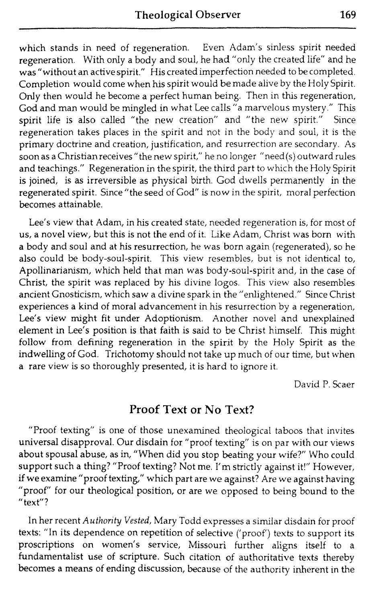which stands in need of regeneration. Even Adam's sinless spirit needed regeneration. With only a body and soul, he had "only the created life" and he was "without an active spirit." His created imperfection needed to be completed. Completion would come when his spirit would be made alive by the Holy Spirit. Only then would he become a perfect human being. Then in this regeneration, God and man would be mingled in what Lee calls "a marvelous mystery." This spirit life is also called "the new creation" and "the new spirit." Since spirit life is also called "the new creation" and "the new spirit." regeneration takes places in the spirit and not in the body and soul, it is the primary doctrine and creation, justification, and resurrection are secondary. As soon as a Christianreceives" the new spirit," he no longer "need(s) outward rules and teachings." Regeneration in the spirit, the third part to which the Holy Spirit is joined, is as irreversible as physical birth. God dwells permanently in the regenerated spirit. Since "the seed of God" is now in the spirit, moral perfection becomes attainable.

Lee's view that Adam, in his created state, needed regeneration is, for most of us, a novel view, but this is not the end of it. Like Adam, Christ was born with a body and soul and at his resurrection, he was born again (regenerated), so he also could be body-soul-spirit. This view resembles, but is not identical to, Apollinarianism, which held that man was body-soul-spirit and, in the case of Christ, the spirit was replaced by his divine logos. This view also resembles ancient Gnosticism, which saw a divine spark in the "enlightened." Since Christ experiences a kind of moral advancement in his resurrection by a regeneration, Lee's view might fit under Adoptionism. Another novel and unexplained element in Lee's position is that faith is said to be Christ himself. This might follow from defining regeneration in the spirit by the Holy Spirit as the indwelling of God. Trichotomy should not take up much of our time, but when a rare view is so thoroughly presented, it is hard to ignore it.

David P. Scaer

### Proof **Text** or **No Text?**

"Proof texting" is one of those unexanuned theological taboos that invites universal disapproval. Our disdain for "proof texting" is on par with our views about spousal abuse, as in, "When did you stop beating your wife?" Who could support such a thing? "Proof texting? Not me. I'm strictly against it!" However, if we examine "proof texting," which part are we against? Are we against having "proof" for our theological position, or are we opposed to being bound to the "text"?

In her recent Authority Vested, Mary Todd expresses a similar disdain for proof texts: "In its dependence on repetition of selective ('proof') texts to support its proscriptions on women's service, Missouri further aligns itself to a fundamentalist use of scripture. Such citation of authoritative texts thereby becomes a means of ending discussion, because of the authority inherent in the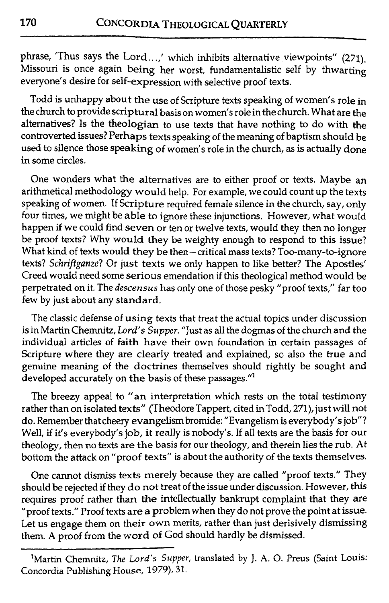phrase, 'Thus says the Lord.. .,' which inhibits alternative viewpoints" (271). Missouri is once again being her worst, fundamentalistic self by thwarting everyone's desire for self-expression with selective proof texts.

Todd is unhappy about the use of Scripture texts speaking of women's role in the church to provide scriptural basis on women's role in the church. What are the alternatives? Is the theologian to use texts that have nothing to do with the controverted issues? Perhaps texts speaking of the meaning of baptism should be used to silence those speaking of women's role in the church, as is actually done in some circles.

One wonders what the alternatives are to either proof or texts. Maybe an arithmetical methodology would help. For example, we could count up the texts speaking of women. If Scripture required female silence in the church, say, only four times, we might be able to ignore these injunctions. However, what would happen if we could find seven or ten or twelve texts, would they then no longer be proof texts? Why would they be weighty enough to respond to this issue? What kind of texts would they be then-critical mass texts? Too-many-to-ignore texts? *Schriftganze?* Or just texts we only happen to like better? The Apostles' Creed would need some serious emendation if this theological method would be perpetrated on it. The *descensus* has only one of those pesky "proof texts," far too few by just about any standard.

The classic defense of using texts that treat the actual topics under discussion is in Martin Chemnitz, *Lord's* Supper. "Just as all the dogmas of the church and the individual articles of faith have their own foundation in certain passages of Scripture where they are clearly treated and explained, so also the true and genuine meaning of the doctrines themselves should rightly be sought and developed accurately on **the** basis of these passages."'

The breezy appeal to "an interpretation which rests on the total testimony rather than on isolated texts" (Theodore Tappert, cited in Todd, 271), just will not do. Remember that cheery evangelism bromide: "Evangelism is everybody's job"? Well, if it's everybody's **job,** it really is nobody's. If all texts are the basis for our theology, then no texts are the basis for our theology, and therein lies the rub. At bottom the attack on "proof texts" is about the authority of the texts themselves.

One cannot dismiss texts merely because they are called "proof texts." They should be rejected if they do not treat of the issue under discussion. However, this requires proof rather than the intellectually bankrupt complaint that they are "proof texts." Proof texts are a problem when they do not prove the point at issue. Let us engage them on their own merits, rather than just derisively dismissing them. **A** proof from the word of God should hardly be dismissed.

<sup>&</sup>lt;sup>1</sup>Martin Chemnitz, The Lord's Supper, translated by J. A. O. Preus (Saint Louis: Concordia Publishing **House,** 1979), **31.**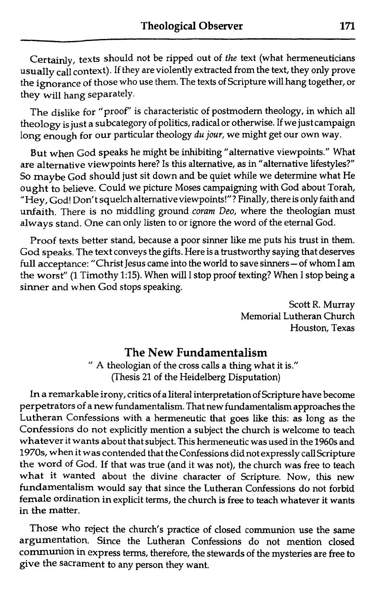Certainly, texts should not be ripped out of *the* text (what hermeneuticians usually call context). If they are violently extracted from the text, they only prove the ignorance of those who use them. The texts of Scripture will hang together, or they will hang separately.

The dislike for "proof" is characteristic of postmodern theology, in which all theology is just a subcategory of politics, radical or otherwise. If we just campaign long enough for our particular theology *du jour*, we might get our own way.

But when God speaks he might be inhibiting "alternative viewpoints." What are alternative viewpoints here? Is this alternative, as in "alternative lifestyles?" So maybe God should just sit down and be quiet while we determine what He ought to believe. Could we picture Moses campaigning with God about Torah, "Hey, God! Don't squelch alternative viewpoints!"? Finally, there is only faith and unfaith. There is no middling ground coram Deo, where the theologian must always stand. One can only listen to or ignore the word of the eternal God.

Proof texts better stand, because a poor sinner like me puts his trust in them. God speaks. The text conveys the gifts. Here is a trustworthy saying that deserves full acceptance: "Christ Jesus came into the world to save sinners - of whom I am the worst" (1 Timothy 1:15). When will I stop proof texting? When I stop being a sinner and when God stops speaking.

> Scott R. Murray Memorial Lutheran Church Houston, Texas

**The New Fundamentalism**<br>
" A theologian of the cross calls a thing what it is." (Thesis 21 of the Heidelberg Disputation)

In a remarkable irony, critics of a literal interpretation of Scripture have become perpetrators of a new fundamentalism. That new fundamentalism approaches the Lutheran Confessions with a hermeneutic that goes like this: as long as the Confessions do not explicitly mention a subject the church is welcome to teach whatever it wants about that subject. This hermeneutic was used in the 1960s and 1970s, when it was contended that the Confessions did not expressly call Scripture the word of God. If that was true (and it was not), the church was free to teach what it wanted about the divine character of Scripture. Now, this new fundamentalism would say that since the Lutheran Confessions do not forbid female ordination in explicit terms, the church is free to teach whatever it wants in the matter.

Those who reject the church's practice of closed communion use the same argumentation. Since the Lutheran Confessions do not mention closed communion in express terms, therefore, the stewards of the mysteries are free to give the sacrament to any person they want.